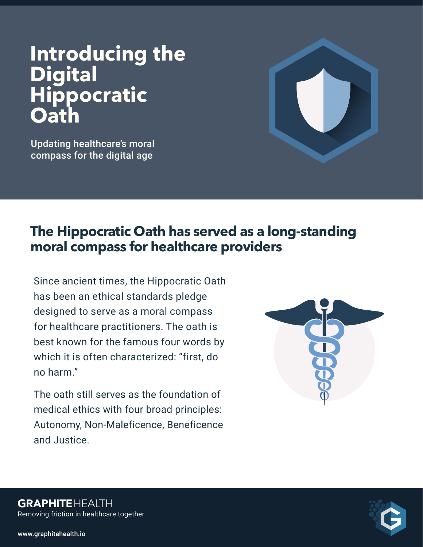# **Introducing the Digital Hippocratic Oath**

Updating healthcare's moral compass for the digital age



## **The Hippocratic Oath has served as a long-standing moral compass for healthcare providers**

Since ancient times, the Hippocratic Oath has been an ethical standards pledge designed to serve as a moral compass for healthcare practitioners. The oath is best known for the famous four words by which it is often characterized: "first, do no harm."

The oath still serves as the foundation of medical ethics with four broad principles: Autonomy, Non-Maleficence, Beneficence and Justice.





Removing friction in healthcare together **GRAPHITEHEALTH**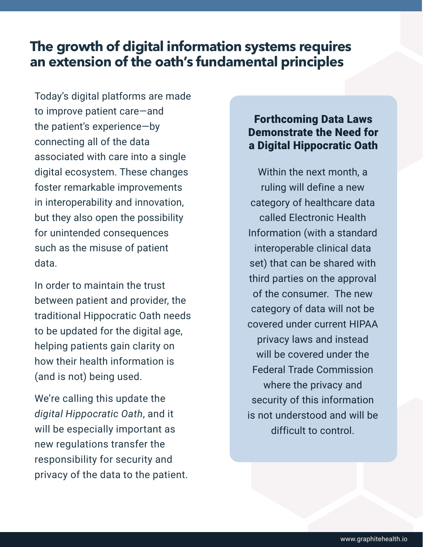## **The growth of digital information systems requires an extension of the oath's fundamental principles**

Today's digital platforms are made to improve patient care—and the patient's experience—by connecting all of the data associated with care into a single digital ecosystem. These changes foster remarkable improvements in interoperability and innovation, but they also open the possibility for unintended consequences such as the misuse of patient data.

In order to maintain the trust between patient and provider, the traditional Hippocratic Oath needs to be updated for the digital age, helping patients gain clarity on how their health information is (and is not) being used.

We're calling this update the *digital Hippocratic Oath*, and it will be especially important as new regulations transfer the responsibility for security and privacy of the data to the patient.

#### Forthcoming Data Laws Demonstrate the Need for a Digital Hippocratic Oath

Within the next month, a ruling will define a new category of healthcare data called Electronic Health Information (with a standard interoperable clinical data set) that can be shared with third parties on the approval of the consumer. The new category of data will not be covered under current HIPAA privacy laws and instead will be covered under the Federal Trade Commission where the privacy and security of this information is not understood and will be difficult to control.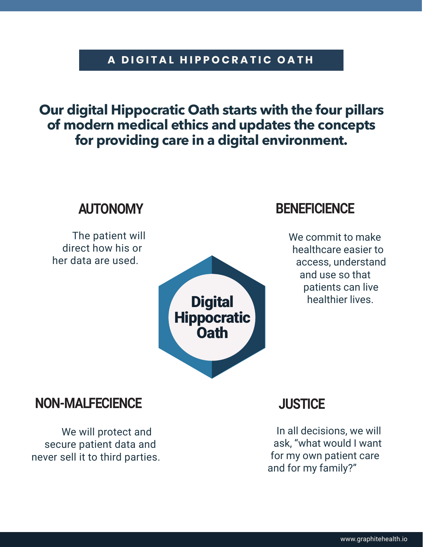#### **A DIGITAL HIPPOCRATIC OATH**

## **Our digital Hippocratic Oath starts with the four pillars of modern medical ethics and updates the concepts for providing care in a digital environment.**



### **NON-MALFECIENCE**

We will protect and secure patient data and never sell it to third parties.

## **JUSTICE**

In all decisions, we will ask, "what would I want for my own patient care and for my family?"